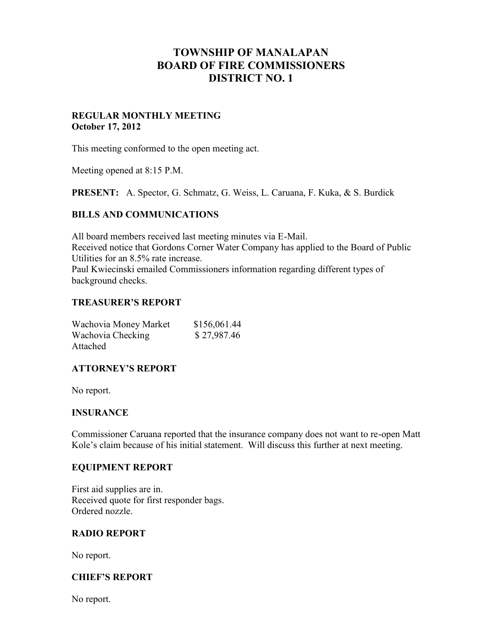# **TOWNSHIP OF MANALAPAN BOARD OF FIRE COMMISSIONERS DISTRICT NO. 1**

## **REGULAR MONTHLY MEETING October 17, 2012**

This meeting conformed to the open meeting act.

Meeting opened at 8:15 P.M.

**PRESENT:** A. Spector, G. Schmatz, G. Weiss, L. Caruana, F. Kuka, & S. Burdick

## **BILLS AND COMMUNICATIONS**

All board members received last meeting minutes via E-Mail. Received notice that Gordons Corner Water Company has applied to the Board of Public Utilities for an 8.5% rate increase. Paul Kwiecinski emailed Commissioners information regarding different types of background checks.

# **TREASURER'S REPORT**

| Wachovia Money Market | \$156,061.44 |
|-----------------------|--------------|
| Wachovia Checking     | \$27,987.46  |
| Attached              |              |

# **ATTORNEY'S REPORT**

No report.

#### **INSURANCE**

Commissioner Caruana reported that the insurance company does not want to re-open Matt Kole's claim because of his initial statement. Will discuss this further at next meeting.

#### **EQUIPMENT REPORT**

First aid supplies are in. Received quote for first responder bags. Ordered nozzle.

#### **RADIO REPORT**

No report.

# **CHIEF'S REPORT**

No report.